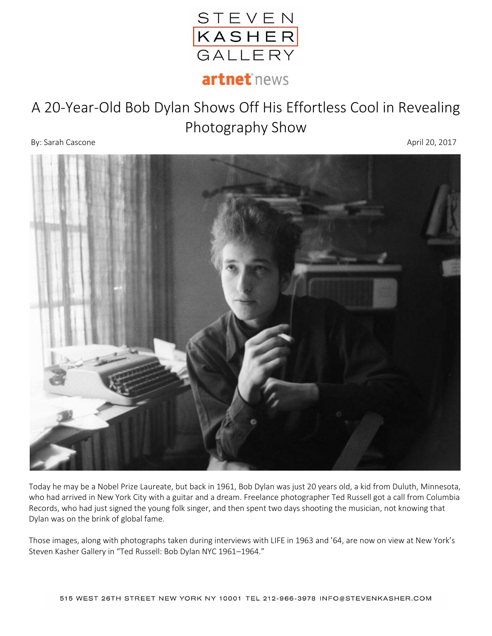

## A 20-Year-Old Bob Dylan Shows Off His Effortless Cool in Revealing Photography Show

By: Sarah Cascone April 20, 2017



Today he may be a Nobel Prize Laureate, but back in 1961, Bob Dylan was just 20 years old, a kid from Duluth, Minnesota, who had arrived in New York City with a guitar and a dream. Freelance photographer Ted Russell got a call from Columbia Records, who had just signed the young folk singer, and then spent two days shooting the musician, not knowing that Dylan was on the brink of global fame.

Those images, along with photographs taken during interviews with LIFE in 1963 and '64, are now on view at New York's Steven Kasher Gallery in "Ted Russell: Bob Dylan NYC 1961–1964."